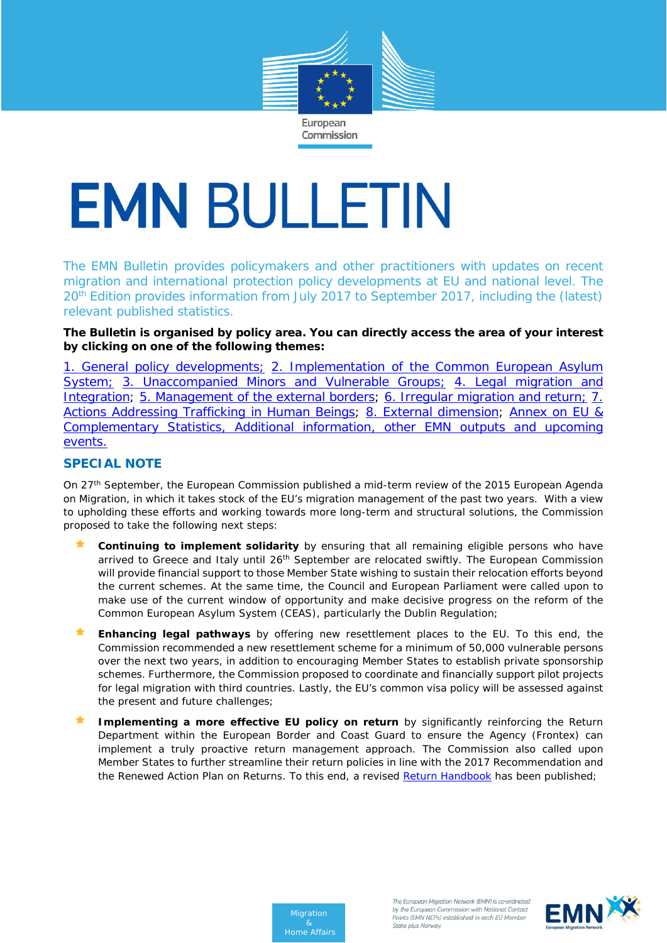

# **EMN BULLETIN**

The EMN Bulletin provides policymakers and other practitioners with updates on recent migration and international protection policy developments at EU and national level. The 20<sup>th</sup> Edition provides information from July 2017 to September 2017, including the (latest) relevant published statistics.

**The Bulletin is organised by policy area. You can directly access the area of your interest by clicking on one of the following themes:** 

[1. General policy developments;](#page-1-0) [2. Implementation of the Common European Asylum](#page-2-0)  [System;](#page-2-0) [3. Unaccompanied Minors and Vulnerable Groups;](#page-5-0) 4. Legal migration and [Integration;](#page-6-0) [5. Management of the external borders;](#page-8-0) 6. Irregular migration and return; 7. [Actions Addressing Trafficking in Human Beings;](#page-10-0) [8. External dimension;](#page-11-0) [Annex on EU &](#page-11-1)  [Complementary Statistics, Additional information, other EMN outputs and upcoming](#page-11-1)  [events.](#page-11-1)

# **SPECIAL NOTE**

On 27<sup>th</sup> September, the European Commission published a mid-term review of the 2015 European Agenda on Migration, in which it takes stock of the EU's migration management of the past two years. With a view to upholding these efforts and working towards more long-term and structural solutions, the Commission proposed to take the following next steps:

- **Continuing to implement solidarity** by ensuring that all remaining eligible persons who have arrived to Greece and Italy until 26<sup>th</sup> September are relocated swiftly. The European Commission will provide financial support to those Member State wishing to sustain their relocation efforts beyond the current schemes. At the same time, the Council and European Parliament were called upon to make use of the current window of opportunity and make decisive progress on the reform of the Common European Asylum System (CEAS), particularly the Dublin Regulation;
- **Enhancing legal pathways** by offering new resettlement places to the EU. To this end, the Commission recommended a new resettlement scheme for a minimum of 50,000 vulnerable persons over the next two years, in addition to encouraging Member States to establish private sponsorship schemes. Furthermore, the Commission proposed to coordinate and financially support pilot projects for legal migration with third countries. Lastly, the EU's common visa policy will be assessed against the present and future challenges;
- **Implementing a more effective EU policy on return** by significantly reinforcing the Return Department within the European Border and Coast Guard to ensure the Agency (Frontex) can implement a truly proactive return management approach. The Commission also called upon Member States to further streamline their return policies in line with the 2017 Recommendation and the Renewed Action Plan on Returns. To this end, a revised [Return Handbook](https://ec.europa.eu/home-affairs/sites/homeaffairs/files/what-we-do/policies/european-agenda-migration/20170927_recommendation_on_establishing_a_common_return_handbook_annex_en.pdf) has been published;



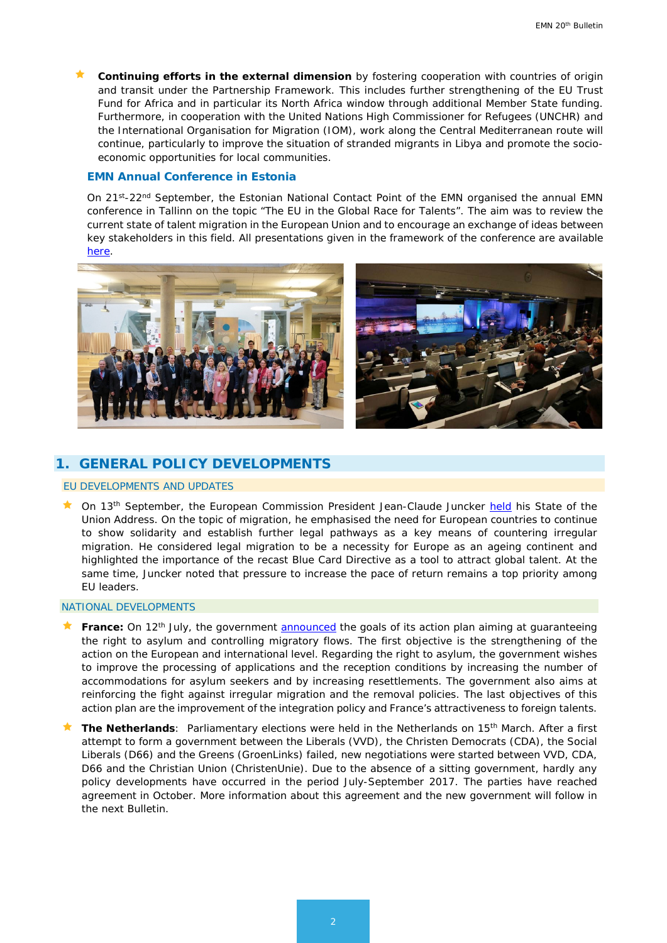**Continuing efforts in the external dimension** by fostering cooperation with countries of origin and transit under the Partnership Framework. This includes further strengthening of the EU Trust Fund for Africa and in particular its North Africa window through additional Member State funding. Furthermore, in cooperation with the United Nations High Commissioner for Refugees (UNCHR) and the International Organisation for Migration (IOM), work along the Central Mediterranean route will continue, particularly to improve the situation of stranded migrants in Libya and promote the socioeconomic opportunities for local communities.

## *EMN Annual Conference in Estonia*

On 21<sup>st</sup>-22<sup>nd</sup> September, the Estonian National Contact Point of the EMN organised the annual EMN conference in Tallinn on the topic "The EU in the Global Race for Talents". The aim was to review the current state of talent migration in the European Union and to encourage an exchange of ideas between key stakeholders in this field. All presentations given in the framework of the conference are available [here.](http://emn.ee/eng/events/conferences/eu-in-the-global-race-for-talents/presentation-slides/)



## <span id="page-1-0"></span>**1. GENERAL POLICY DEVELOPMENTS**

## EU DEVELOPMENTS AND UPDATES

**The September, the European Commission President Jean-Claude Juncker [held](https://ec.europa.eu/commission/state-union-2017_en) his State of the** Union Address. On the topic of migration, he emphasised the need for European countries to continue to show solidarity and establish further legal pathways as a key means of countering irregular migration. He considered legal migration to be a necessity for Europe as an ageing continent and highlighted the importance of the recast Blue Card Directive as a tool to attract global talent. At the same time, Juncker noted that pressure to increase the pace of return remains a top priority among EU leaders.

#### NATIONAL DEVELOPMENTS

- France: On 12<sup>th</sup> July, the government [announced](https://www.interieur.gouv.fr/Actualites/L-actu-du-Ministere/Garantir-le-droit-d-asile-mieux-maitriser-les-flux-migratoires) the goals of its action plan aiming at guaranteeing the right to asylum and controlling migratory flows. The first objective is the strengthening of the action on the European and international level. Regarding the right to asylum, the government wishes to improve the processing of applications and the reception conditions by increasing the number of accommodations for asylum seekers and by increasing resettlements. The government also aims at reinforcing the fight against irregular migration and the removal policies. The last objectives of this action plan are the improvement of the integration policy and France's attractiveness to foreign talents.
- **The Netherlands**: Parliamentary elections were held in the Netherlands on 15th March. After a first attempt to form a government between the Liberals (VVD), the Christen Democrats (CDA), the Social Liberals (D66) and the Greens (GroenLinks) failed, new negotiations were started between VVD, CDA, D66 and the Christian Union (ChristenUnie). Due to the absence of a sitting government, hardly any policy developments have occurred in the period July-September 2017. The parties have reached agreement in October. More information about this agreement and the new government will follow in the next Bulletin.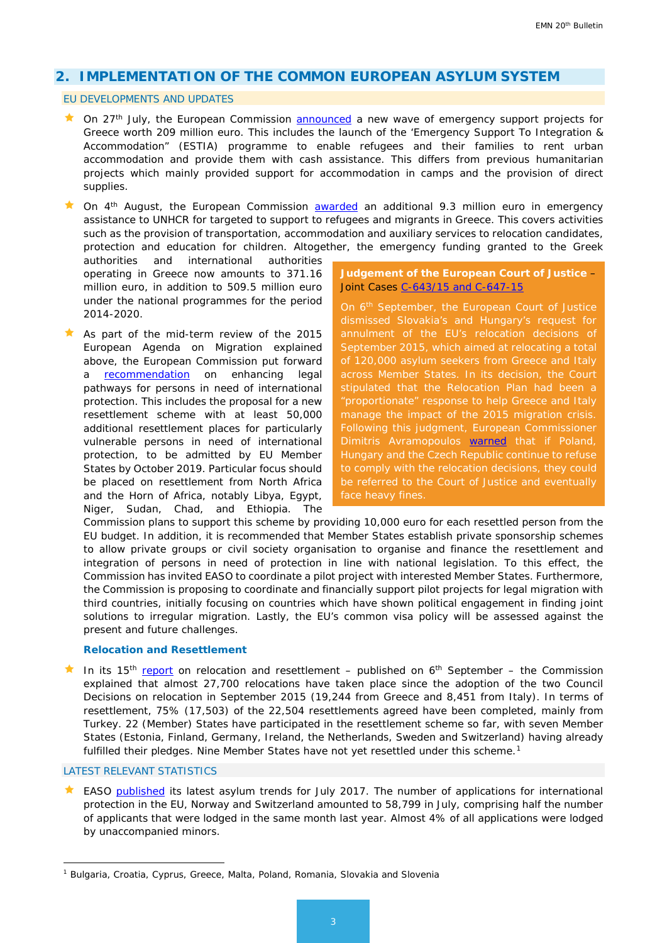# <span id="page-2-0"></span>**2. IMPLEMENTATION OF THE COMMON EUROPEAN ASYLUM SYSTEM**

### EU DEVELOPMENTS AND UPDATES

- $\star$  On 27<sup>th</sup> July, the European Commission [announced](http://europa.eu/rapid/press-release_IP-17-2121_en.htm) a new wave of emergency support projects for Greece worth 209 million euro. This includes the launch of the 'Emergency Support To Integration & Accommodation" (ESTIA) programme to enable refugees and their families to rent urban accommodation and provide them with cash assistance. This differs from previous humanitarian projects which mainly provided support for accommodation in camps and the provision of direct supplies.
- $\star$  On 4<sup>th</sup> August, the European Commission [awarded](https://ec.europa.eu/home-affairs/news/migration-commission-awards-%E2%82%AC93-million-emergency-funding-unhcr-support-refugees-greece_en) an additional 9.3 million euro in emergency assistance to UNHCR for targeted to support to refugees and migrants in Greece. This covers activities such as the provision of transportation, accommodation and auxiliary services to relocation candidates, protection and education for children. Altogether, the emergency funding granted to the Greek

authorities and international authorities operating in Greece now amounts to 371.16 million euro, in addition to 509.5 million euro under the national programmes for the period 2014-2020.

As part of the mid-term review of the 2015 European Agenda on Migration explained above, the European Commission put forward a **[recommendation](https://ec.europa.eu/home-affairs/sites/homeaffairs/files/what-we-do/policies/european-agenda-migration/20170927_recommendation_on_enhancing_legal_pathways_for_persons_in_need_of_international_protection_en.pdf)** on enhancing legal pathways for persons in need of international protection. This includes the proposal for a new resettlement scheme with at least 50,000 additional resettlement places for particularly vulnerable persons in need of international protection, to be admitted by EU Member States by October 2019. Particular focus should be placed on resettlement from North Africa and the Horn of Africa, notably Libya, Egypt, Niger, Sudan, Chad, and Ethiopia. The

**Judgement of the European Court of Justice** – Joint Cases [C-643/15 and C-647-15](http://curia.europa.eu/juris/document/document.jsf?text=&docid=194081&pageIndex=0&doclang=EN&mode=req&dir=&occ=first&part=1&cid=762219&utm_source=ECRE+Newsletters&utm_campaign=008066f7d9-EMAIL_CAMPAIGN_2017_09_08&utm_medium=email&utm_term=0_3ec9497afd-008066f7d9-422304153)

On 6th September, the European Court of Justice dismissed Slovakia's and Hungary's request for September 2015, which aimed at relocating a total of 120,000 asylum seekers from Greece and Italy across Member States. In its decision, the Court stipulated that the Relocation Plan had been a "proportionate" response to help Greece and Italy manage the impact of the 2015 migration crisis. Following this judgment, European Commissioner Dimitris Avramopoulos [warned](http://www.reuters.com/article/us-europe-migrants-easteurope-infringeme/eu-threatens-hungary-poland-with-fines-if-refuse-refugees-idUSKCN1BH1JH?il=0) that if Poland, Hungary and the Czech Republic continue to refuse to comply with the relocation decisions, they could

Commission plans to support this scheme by providing 10,000 euro for each resettled person from the EU budget. In addition, it is recommended that Member States establish private sponsorship schemes to allow private groups or civil society organisation to organise and finance the resettlement and integration of persons in need of protection in line with national legislation. To this effect, the Commission has invited EASO to coordinate a pilot project with interested Member States. Furthermore, the Commission is proposing to coordinate and financially support pilot projects for legal migration with third countries, initially focusing on countries which have shown political engagement in finding joint solutions to irregular migration. Lastly, the EU's common visa policy will be assessed against the present and future challenges.

## *Relocation and Resettlement*

In its 15<sup>th</sup> [report](https://ec.europa.eu/home-affairs/sites/homeaffairs/files/what-we-do/policies/european-agenda-migration/20170906_fifteenth_report_on_relocation_and_resettlement_en.pdf) on relocation and resettlement – published on  $6<sup>th</sup>$  September – the Commission explained that almost 27,700 relocations have taken place since the adoption of the two Council Decisions on relocation in September 2015 (19,244 from Greece and 8,451 from Italy). In terms of resettlement, 75% (17,503) of the 22,504 resettlements agreed have been completed, mainly from Turkey. 22 (Member) States have participated in the resettlement scheme so far, with seven Member States (Estonia, Finland, Germany, Ireland, the Netherlands, Sweden and Switzerland) having already fulfilled their pledges. Nine Member States have not yet resettled under this scheme.<sup>[1](#page-2-1)</sup>

#### LATEST RELEVANT STATISTICS

-

 EASO [published](https://www.easo.europa.eu/sites/default/files/Latest-Asylum-Trends-July-2017FINAL.pdf) its latest asylum trends for July 2017. The number of applications for international protection in the EU, Norway and Switzerland amounted to 58,799 in July, comprising half the number of applicants that were lodged in the same month last year. Almost 4% of all applications were lodged by unaccompanied minors.

<span id="page-2-1"></span><sup>1</sup> Bulgaria, Croatia, Cyprus, Greece, Malta, Poland, Romania, Slovakia and Slovenia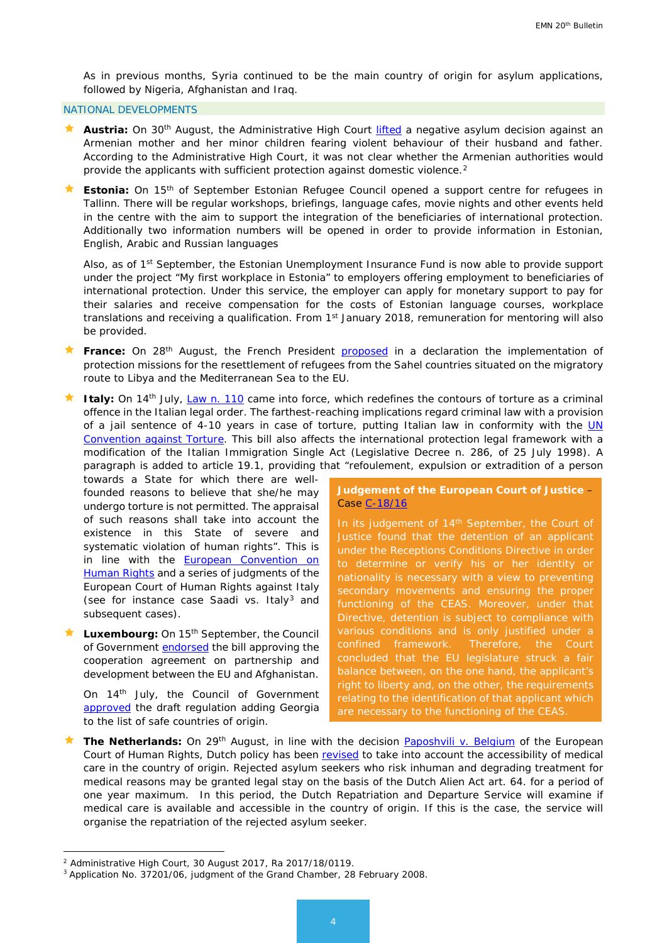As in previous months, Syria continued to be the main country of origin for asylum applications, followed by Nigeria, Afghanistan and Iraq.

### NATIONAL DEVELOPMENTS

- **Austria:** On 30<sup>th</sup> August, the Administrative High Court *lifted* a negative asylum decision against an Armenian mother and her minor children fearing violent behaviour of their husband and father. According to the Administrative High Court, it was not clear whether the Armenian authorities would provide the applicants with sufficient protection against domestic violence.[2](#page-3-0)
- **Estonia:** On 15<sup>th</sup> of September Estonian Refugee Council opened a support centre for refugees in Tallinn. There will be regular workshops, briefings, language cafes, movie nights and other events held in the centre with the aim to support the integration of the beneficiaries of international protection. Additionally two information numbers will be opened in order to provide information in Estonian, English, Arabic and Russian languages

Also, as of 1<sup>st</sup> September, the Estonian Unemployment Insurance Fund is now able to provide support under the project "My first workplace in Estonia" to employers offering employment to beneficiaries of international protection. Under this service, the employer can apply for monetary support to pay for their salaries and receive compensation for the costs of Estonian language courses, workplace translations and receiving a qualification. From 1<sup>st</sup> January 2018, remuneration for mentoring will also be provided.

- **France:** On 28<sup>th</sup> August, the French President [proposed](http://www.elysee.fr/declarations/article/declaration-conjointe-missions-de-protection-en-vue-de-la-reinstallation-de-refugies-en-europe/) in a declaration the implementation of protection missions for the resettlement of refugees from the Sahel countries situated on the migratory route to Libya and the Mediterranean Sea to the EU.
- Italy: On 14<sup>th</sup> July, [Law n. 110](http://www.normattiva.it/uri-res/N2Ls?urn:nir:stato:legge:2017-07-14;110) came into force, which redefines the contours of torture as a criminal offence in the Italian legal order. The farthest-reaching implications regard criminal law with a provision of a jail sentence of 4-10 years in case of torture, putting Italian law in conformity with the UN [Convention against](https://treaties.un.org/pages/ViewDetails.aspx?src=IND&mtdsg_no=IV-9&chapter=4&lang=en) Torture. This bill also affects the international protection legal framework with a modification of the Italian Immigration Single Act (Legislative Decree n. 286, of 25 July 1998). A paragraph is added to article 19.1, providing that "refoulement, expulsion or extradition of a person

towards a State for which there are wellfounded reasons to believe that she/he may undergo torture is not permitted. The appraisal of such reasons shall take into account the existence in this State of severe and systematic violation of human rights". This is in line with the **European Convention on** [Human Rights](http://www.echr.coe.int/Documents/Convention_ENG.pdf) and a series of judgments of the European Court of Human Rights against Italy (see for instance case Saadi vs. Italy $3$  and subsequent cases).

Luxembourg: On 15<sup>th</sup> September, the Council of Government [endorsed](http://www.gouvernement.lu/7351194/15-conseil-gouvernement) the bill approving the cooperation agreement on partnership and development between the EU and Afghanistan.

On 14th July, the Council of Government [approved](http://www.gouvernement.lu/7135299/14-conseil-gouvernement) the draft regulation adding Georgia to the list of safe countries of origin.

## **Judgement of the European Court of Justice** – Case [C-18/16](http://curia.europa.eu/juris/document/document.jsf?text=&docid=194431&pageIndex=0&doclang=en&mode=lst&dir=&occ=first&part=1&cid=1018966&utm_source=ECRE+Newsletters&utm_campaign=eca37b9e8d-EMAIL_CAMPAIGN_2017_09_15&utm_medium=email&utm_term=0_3ec9497afd-eca37b9e8d-422304153)

In its judgement of 14<sup>th</sup> September, the Court of Justice found that the detention of an applicant under the Receptions Conditions Directive in order to determine or verify his or her identity or nationality is necessary with a view to preventing secondary movements and ensuring the proper functioning of the CEAS. Moreover, under that Directive, detention is subject to compliance with various conditions and is only justified under a confined framework. Therefore, the Court concluded that the EU legislature struck a fair balance between, on the one hand, the applicant's right to liberty and, on the other, the requirements relating to the identification of that applicant which are necessary to the functioning of the CEAS.

**The Netherlands:** On 29<sup>th</sup> August, in line with the decision **Paposhvili v. Belgium** of the European Court of Human Rights, Dutch policy has been [revised](https://zoek.officielebekendmakingen.nl/stcrt-2017-50078.html) to take into account the accessibility of medical care in the country of origin. Rejected asylum seekers who risk inhuman and degrading treatment for medical reasons may be granted legal stay on the basis of the Dutch Alien Act art. 64. for a period of one year maximum. In this period, the Dutch Repatriation and Departure Service will examine if medical care is available and accessible in the country of origin. If this is the case, the service will organise the repatriation of the rejected asylum seeker.

<u>.</u>

<span id="page-3-0"></span><sup>2</sup> Administrative High Court, 30 August 2017, Ra 2017/18/0119.

<span id="page-3-1"></span><sup>3</sup> Application No. 37201/06, judgment of the Grand Chamber, 28 February 2008.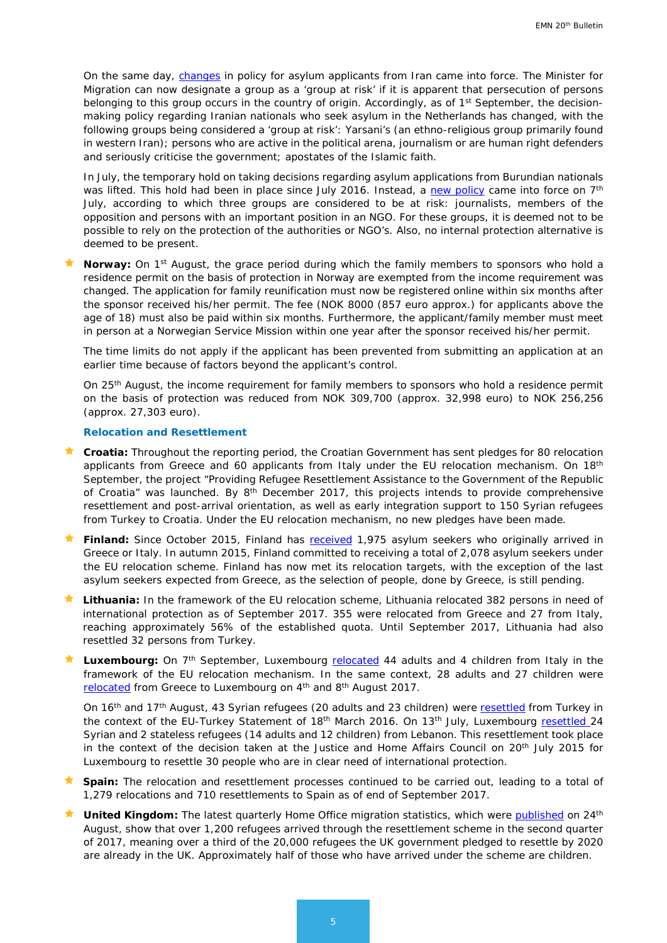On the same day, [changes](https://zoek.officielebekendmakingen.nl/stcrt-2017-49812.html) in policy for asylum applicants from Iran came into force. The Minister for Migration can now designate a group as a 'group at risk' if it is apparent that persecution of persons belonging to this group occurs in the country of origin. Accordingly, as of 1<sup>st</sup> September, the decisionmaking policy regarding Iranian nationals who seek asylum in the Netherlands has changed, with the following groups being considered a 'group at risk': Yarsani's (an ethno-religious group primarily found in western Iran); persons who are active in the political arena, journalism or are human right defenders and seriously criticise the government; apostates of the Islamic faith.

In July, the temporary hold on taking decisions regarding asylum applications from Burundian nationals was lifted. This hold had been in place since July 2016. Instead, a [new policy](https://zoek.officielebekendmakingen.nl/stcrt-2017-39944.html) came into force on 7<sup>th</sup> July, according to which three groups are considered to be at risk: journalists, members of the opposition and persons with an important position in an NGO. For these groups, it is deemed not to be possible to rely on the protection of the authorities or NGO's. Also, no internal protection alternative is deemed to be present.

**Norway:** On 1<sup>st</sup> August, the grace period during which the family members to sponsors who hold a residence permit on the basis of protection in Norway are exempted from the income requirement was changed. The application for family reunification must now be registered online within six months after the sponsor received his/her permit. The fee (NOK 8000 (857 euro approx.) for applicants above the age of 18) must also be paid within six months. Furthermore, the applicant/family member must meet in person at a Norwegian Service Mission within one year after the sponsor received his/her permit.

The time limits do not apply if the applicant has been prevented from submitting an application at an earlier time because of factors beyond the applicant's control.

On 25<sup>th</sup> August, the income requirement for family members to sponsors who hold a residence permit on the basis of protection was reduced from NOK 309,700 (approx. 32,998 euro) to NOK 256,256 (approx. 27,303 euro).

#### *Relocation and Resettlement*

- **Croatia:** Throughout the reporting period, the Croatian Government has sent pledges for 80 relocation applicants from Greece and 60 applicants from Italy under the EU relocation mechanism. On 18<sup>th</sup> September, the project "Providing Refugee Resettlement Assistance to the Government of the Republic of Croatia" was launched. By  $8<sup>th</sup>$  December 2017, this projects intends to provide comprehensive resettlement and post-arrival orientation, as well as early integration support to 150 Syrian refugees from Turkey to Croatia. Under the EU relocation mechanism, no new pledges have been made.
- **★ Finland:** Since October 2015, Finland has [received](http://www.migri.fi/for_the_media/bulletins/press_releases/press_releases/1/0/eu_relocation_programme_ends_finland_has_received_1_975_asylum_seekers_who_arrived_in_italy_and_greece_74301) 1,975 asylum seekers who originally arrived in Greece or Italy. In autumn 2015, Finland committed to receiving a total of 2,078 asylum seekers under the EU relocation scheme. Finland has now met its relocation targets, with the exception of the last asylum seekers expected from Greece, as the selection of people, done by Greece, is still pending.
- **Lithuania:** In the framework of the EU relocation scheme, Lithuania relocated 382 persons in need of international protection as of September 2017. 355 were relocated from Greece and 27 from Italy, reaching approximately 56% of the established quota. Until September 2017, Lithuania had also resettled 32 persons from Turkey.
- **Luxembourg:** On 7<sup>th</sup> September, Luxembourg **relocated** 44 adults and 4 children from Italy in the framework of the EU relocation mechanism. In the same context, 28 adults and 27 children were [relocated](http://www.gouvernement.lu/7194705/09-demandeurs-relocalisation) from Greece to Luxembourg on 4<sup>th</sup> and 8<sup>th</sup> August 2017.

On 16th and 17th August, 43 Syrian refugees (20 adults and 23 children) were [resettled](http://www.gouvernement.lu/7278422/17-refugies) from Turkey in the context of the EU-Turkey Statement of 18<sup>th</sup> March 2016. On 13<sup>th</sup> July, Luxembourg [resettled 2](http://www.gouvernement.lu/7132246/13-reinstallation-refugies)4 Syrian and 2 stateless refugees (14 adults and 12 children) from Lebanon. This resettlement took place in the context of the decision taken at the Justice and Home Affairs Council on  $20<sup>th</sup>$  July 2015 for Luxembourg to resettle 30 people who are in clear need of international protection.

- **Spain:** The relocation and resettlement processes continued to be carried out, leading to a total of 1,279 relocations and 710 resettlements to Spain as of end of September 2017.
- **United Kingdom:** The latest quarterly Home Office migration statistics, which were **published** on 24<sup>th</sup> August, show that over 1,200 refugees arrived through the resettlement scheme in the second quarter of 2017, meaning over a third of the 20,000 refugees the UK government pledged to resettle by 2020 are already in the UK. Approximately half of those who have arrived under the scheme are children.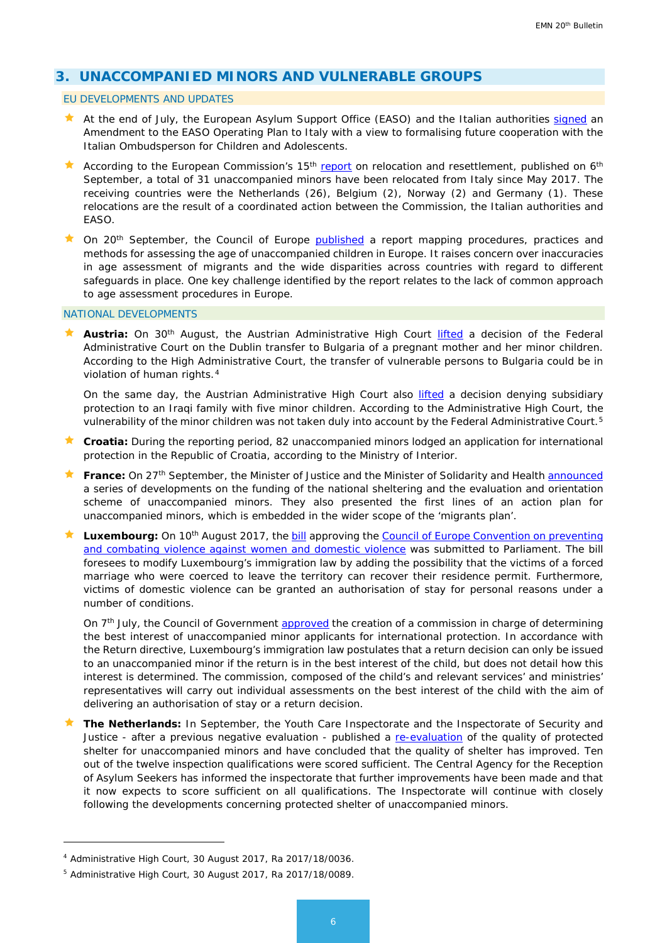# <span id="page-5-0"></span>**3. UNACCOMPANIED MINORS AND VULNERABLE GROUPS**

#### EU DEVELOPMENTS AND UPDATES

- **At the end of July, the European Asylum Support Office (EASO) and the Italian authorities [signed](https://www.easo.europa.eu/news-events/press-releaseeaso-and-italian-ombudsperson-children-and-adolescents-are-working-together) an** Amendment to the EASO Operating Plan to Italy with a view to formalising future cooperation with the Italian Ombudsperson for Children and Adolescents.
- According to the European Commission's 15<sup>th</sup> [report](https://ec.europa.eu/home-affairs/sites/homeaffairs/files/what-we-do/policies/european-agenda-migration/20170906_fifteenth_report_on_relocation_and_resettlement_en.pdf) on relocation and resettlement, published on 6<sup>th</sup> September, a total of 31 unaccompanied minors have been relocated from Italy since May 2017. The receiving countries were the Netherlands (26), Belgium (2), Norway (2) and Germany (1). These relocations are the result of a coordinated action between the Commission, the Italian authorities and EASO.
- $\star$  On 20<sup>th</sup> September, the Council of Europe [published](https://rm.coe.int/age-assessment-council-of-europe-member-states-policies-procedures-and/168074b723?utm_source=ECRE+Newsletters&utm_campaign=cc1d8f92fc-EMAIL_CAMPAIGN_2017_09_29&utm_medium=email&utm_term=0_3ec9497afd-cc1d8f92fc-422304153) a report mapping procedures, practices and methods for assessing the age of unaccompanied children in Europe. It raises concern over inaccuracies in age assessment of migrants and the wide disparities across countries with regard to different safeguards in place. One key challenge identified by the report relates to the lack of common approach to age assessment procedures in Europe.

## NATIONAL DEVELOPMENTS

**Austria:** On 30<sup>th</sup> August, the Austrian Administrative High Court *[lifted](https://www.ris.bka.gv.at/Dokument.wxe?ResultFunctionToken=fa7af8dc-0db0-4d69-ac5f-97c543123f94&Position=1&Abfrage=Vwgh&Entscheidungsart=Erkenntnis&Sammlungsnummer=&Index=&AenderungenSeit=Undefined&SucheNachRechtssatz=False&SucheNachText=True&GZ=&VonDatum=&BisDatum=&Norm=&ImRisSeit=EinemMonat&ResultPageSize=50&Suchworte=&Dokumentnummer=JWT_2017180036_20170830L00)* a decision of the Federal Administrative Court on the Dublin transfer to Bulgaria of a pregnant mother and her minor children. According to the High Administrative Court, the transfer of vulnerable persons to Bulgaria could be in violation of human rights.<sup>[4](#page-5-1)</sup>

On the same day, the Austrian Administrative High Court also [lifted](https://www.ris.bka.gv.at/Dokument.wxe?ResultFunctionToken=fa7af8dc-0db0-4d69-ac5f-97c543123f94&Position=1&Abfrage=Vwgh&Entscheidungsart=Erkenntnis&Sammlungsnummer=&Index=&AenderungenSeit=Undefined&SucheNachRechtssatz=False&SucheNachText=True&GZ=&VonDatum=&BisDatum=&Norm=&ImRisSeit=EinemMonat&ResultPageSize=50&Suchworte=&Dokumentnummer=JWT_2017180089_20170830L00) a decision denying subsidiary protection to an Iraqi family with five minor children. According to the Administrative High Court, the vulnerability of the minor children was not taken duly into account by the Federal Administrative Court.<sup>[5](#page-5-2)</sup>

- **Croatia:** During the reporting period, 82 unaccompanied minors lodged an application for international protection in the Republic of Croatia, according to the Ministry of Interior.
- France: On 27<sup>th</sup> September, the Minister of Justice and the Minister of Solidarity and Health **announced** a series of developments on the funding of the national sheltering and the evaluation and orientation scheme of unaccompanied minors. They also presented the first lines of an action plan for unaccompanied minors, which is embedded in the wider scope of the 'migrants plan'.
- **Luxembourg:** On 10<sup>th</sup> August 2017, the **bill** approving the Council of Europe Convention on preventing [and combating violence against women and domestic violence](https://www.coe.int/en/web/conventions/full-list/-/conventions/treaty/210) was submitted to Parliament. The bill foresees to modify Luxembourg's immigration law by adding the possibility that the victims of a forced marriage who were coerced to leave the territory can recover their residence permit. Furthermore, victims of domestic violence can be granted an authorisation of stay for personal reasons under a number of conditions.

On 7<sup>th</sup> July, the Council of Government [approved](https://www.gouvernement.lu/7117580/07-conseil-gouvernement) the creation of a commission in charge of determining the best interest of unaccompanied minor applicants for international protection. In accordance with the Return directive, Luxembourg's immigration law postulates that a return decision can only be issued to an unaccompanied minor if the return is in the best interest of the child, but does not detail how this interest is determined. The commission, composed of the child's and relevant services' and ministries' representatives will carry out individual assessments on the best interest of the child with the aim of delivering an authorisation of stay or a return decision.

**The Netherlands:** In September, the Youth Care Inspectorate and the Inspectorate of Security and Justice - after a previous negative evaluation - published a [re-evaluation](https://www.inspectievenj.nl/toezichtgebieden/a/asiel-en-migratie/nieuws/2017/09/06/kwaliteit-beschermde-opvang-alleenstaande-minderjarige-vreemdelingen-verbeterd) of the quality of protected shelter for unaccompanied minors and have concluded that the quality of shelter has improved. Ten out of the twelve inspection qualifications were scored sufficient. The Central Agency for the Reception of Asylum Seekers has informed the inspectorate that further improvements have been made and that it now expects to score sufficient on all qualifications. The Inspectorate will continue with closely following the developments concerning protected shelter of unaccompanied minors.

<u>.</u>

<span id="page-5-1"></span><sup>4</sup> Administrative High Court, 30 August 2017, Ra 2017/18/0036.

<span id="page-5-2"></span><sup>5</sup> Administrative High Court, 30 August 2017, Ra 2017/18/0089.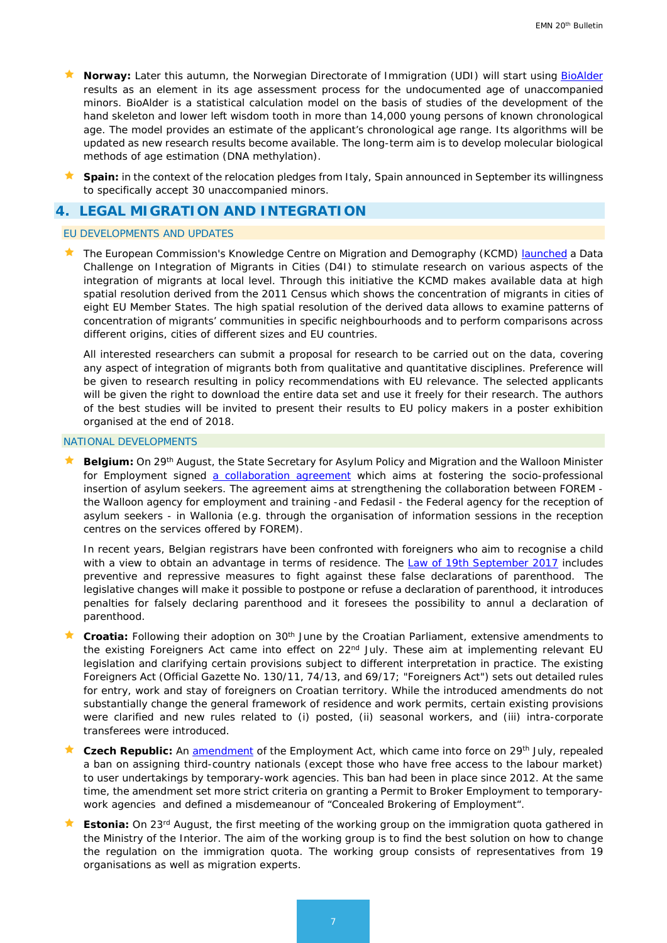- **Norway:** Later this autumn, the Norwegian Directorate of Immigration (UDI) will start using [BioAlder](https://oslo-universitetssykehus.no/Documents/BioAlderManual_v1.0.pdf) results as an element in its age assessment process for the undocumented age of unaccompanied minors. BioAlder is a statistical calculation model on the basis of studies of the development of the hand skeleton and lower left wisdom tooth in more than 14,000 young persons of known chronological age. The model provides an estimate of the applicant's chronological age range. Its algorithms will be updated as new research results become available. The long-term aim is to develop molecular biological methods of age estimation (DNA methylation).
- **Spain:** in the context of the relocation pledges from Italy, Spain announced in September its willingness to specifically accept 30 unaccompanied minors.

# <span id="page-6-0"></span>**4. LEGAL MIGRATION AND INTEGRATION**

### EU DEVELOPMENTS AND UPDATES

 The European Commission's Knowledge Centre on Migration and Demography (KCMD) [launched](https://bluehub.jrc.ec.europa.eu/datachallenge/) a *Data Challenge on Integration of Migrants in Cities (D4I)* to stimulate research on various aspects of the integration of migrants at local level. Through this initiative the KCMD makes available data at high spatial resolution derived from the 2011 Census which shows the concentration of migrants in cities of eight EU Member States. The high spatial resolution of the derived data allows to examine patterns of concentration of migrants' communities in specific neighbourhoods and to perform comparisons across different origins, cities of different sizes and EU countries.

All interested researchers can submit a proposal for research to be carried out on the data, covering any aspect of integration of migrants both from qualitative and quantitative disciplines. Preference will be given to research resulting in policy recommendations with EU relevance. The selected applicants will be given the right to download the entire data set and use it freely for their research. The authors of the best studies will be invited to present their results to EU policy makers in a poster exhibition organised at the end of 2018.

#### NATIONAL DEVELOPMENTS

 **Belgium:** On 29th August, the State Secretary for Asylum Policy and Migration and the Walloon Minister for Employment signed [a collaboration agreement](https://emnbelgium.be/news/declaration-intent-signed-between-state-secretary-asylum-policy-and-migration-and-walloon?q=/fr/nouvelles/une-declaration-dintention-ete-signee-entre-le-secretaire-detat-lasile-et-la-migration-et) which aims at fostering the socio-professional insertion of asylum seekers. The agreement aims at strengthening the collaboration between FOREM the Walloon agency for employment and training -and Fedasil - the Federal agency for the reception of asylum seekers - in Wallonia (e.g. through the organisation of information sessions in the reception centres on the services offered by FOREM).

In recent years, Belgian registrars have been confronted with foreigners who aim to recognise a child with a view to obtain an advantage in terms of residence. The [Law of 19th September 2017](https://emnbelgium.be/news/new-law-fight-against-false-declarations-parenthood) includes preventive and repressive measures to fight against these false declarations of parenthood. The legislative changes will make it possible to postpone or refuse a declaration of parenthood, it introduces penalties for falsely declaring parenthood and it foresees the possibility to annul a declaration of parenthood.

- **Croatia:** Following their adoption on 30th June by the Croatian Parliament, extensive amendments to the existing Foreigners Act came into effect on 22<sup>nd</sup> July. These aim at implementing relevant EU legislation and clarifying certain provisions subject to different interpretation in practice. The existing Foreigners Act (Official Gazette No. 130/11, 74/13, and 69/17; "Foreigners Act") sets out detailed rules for entry, work and stay of foreigners on Croatian territory. While the introduced amendments do not substantially change the general framework of residence and work permits, certain existing provisions were clarified and new rules related to (i) posted, (ii) seasonal workers, and (iii) intra-corporate transferees were introduced.
- **Czech Republic:** An [amendment](https://portal.gov.cz/app/zakony/zakonPar.jsp?idBiblio=88685&nr=206%7E2F2017&rpp=15%23local-content) of the Employment Act, which came into force on 29<sup>th</sup> July, repealed a ban on assigning third-country nationals (except those who have free access to the labour market) to user undertakings by temporary-work agencies. This ban had been in place since 2012. At the same time, the amendment set more strict criteria on granting a Permit to Broker Employment to temporarywork agencies and defined a misdemeanour of "Concealed Brokering of Employment".
- **Estonia:** On 23rd August, the first meeting of the working group on the immigration quota gathered in the Ministry of the Interior. The aim of the working group is to find the best solution on how to change the regulation on the immigration quota. The working group consists of representatives from 19 organisations as well as migration experts.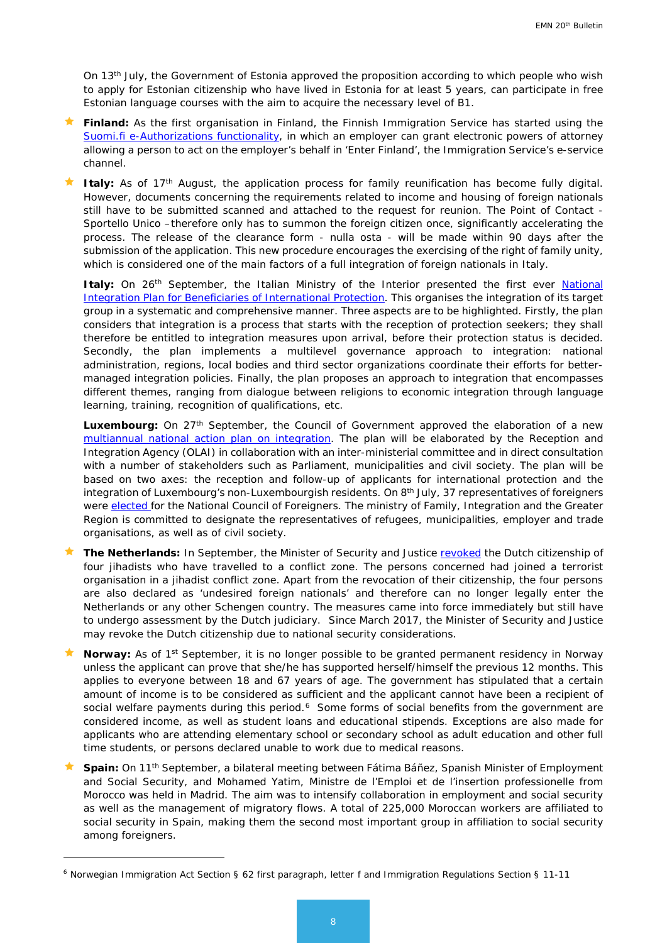On 13th July, the Government of Estonia approved the proposition according to which people who wish to apply for Estonian citizenship who have lived in Estonia for at least 5 years, can participate in free Estonian language courses with the aim to acquire the necessary level of B1.

- **Finland:** As the first organisation in Finland, the Finnish Immigration Service has started using the [Suomi.fi e-Authorizations functionality,](http://www.migri.fi/for_the_media/bulletins/press_releases/press_releases/1/0/finnish_immigration_service_introduced_e-authorizations_73745) in which an employer can grant electronic powers of attorney allowing a person to act on the employer's behalf in 'Enter Finland', the Immigration Service's e-service channel.
- Italy: As of 17<sup>th</sup> August, the application process for family reunification has become fully digital. However, documents concerning the requirements related to income and housing of foreign nationals still have to be submitted scanned and attached to the request for reunion. The Point of Contact - Sportello Unico –therefore only has to summon the foreign citizen once, significantly accelerating the process. The release of the clearance form - nulla osta - will be made within 90 days after the submission of the application. This new procedure encourages the exercising of the right of family unity, which is considered one of the main factors of a full integration of foreign nationals in Italy.

Italy: On 26<sup>th</sup> September, the Italian Ministry of the Interior presented the first ever National [Integration Plan for Beneficiaries of International Protection.](http://www.interno.gov.it/sites/default/files/piano-nazionale-integrazione.pdf) This organises the integration of its target group in a systematic and comprehensive manner. Three aspects are to be highlighted. Firstly, the plan considers that integration is a process that starts with the reception of protection seekers; they shall therefore be entitled to integration measures upon arrival, before their protection status is decided. Secondly, the plan implements a multilevel governance approach to integration: national administration, regions, local bodies and third sector organizations coordinate their efforts for bettermanaged integration policies. Finally, the plan proposes an approach to integration that encompasses different themes, ranging from dialogue between religions to economic integration through language learning, training, recognition of qualifications, etc.

Luxembourg: On 27<sup>th</sup> September, the Council of Government approved the elaboration of a new [multiannual national action plan on integration.](https://www.gouvernement.lu/7391276/27-conseil-gouvernement) The plan will be elaborated by the Reception and Integration Agency (OLAI) in collaboration with an inter-ministerial committee and in direct consultation with a number of stakeholders such as Parliament, municipalities and civil society. The plan will be based on two axes: the reception and follow-up of applicants for international protection and the integration of Luxembourg's non-Luxembourgish residents. On 8<sup>th</sup> July, 37 representatives of foreigners were [elected f](http://www.gouvernement.lu/7124231/10-elections-etrangers)or the National Council of Foreigners. The ministry of Family, Integration and the Greater Region is committed to designate the representatives of refugees, municipalities, employer and trade organisations, as well as of civil society.

- **The Netherlands:** In September, the Minister of Security and Justice [revoked](https://www.rijksoverheid.nl/actueel/nieuws/2017/09/13/minister-blok-trekt-nederlanderschap-in-van-vier-personen) the Dutch citizenship of four jihadists who have travelled to a conflict zone. The persons concerned had joined a terrorist organisation in a jihadist conflict zone. Apart from the revocation of their citizenship, the four persons are also declared as 'undesired foreign nationals' and therefore can no longer legally enter the Netherlands or any other Schengen country. The measures came into force immediately but still have to undergo assessment by the Dutch judiciary. Since March 2017, the Minister of Security and Justice may revoke the Dutch citizenship due to national security considerations.
- **Norway:** As of 1<sup>st</sup> September, it is no longer possible to be granted permanent residency in Norway unless the applicant can prove that she/he has supported herself/himself the previous 12 months. This applies to everyone between 18 and 67 years of age. The government has stipulated that a certain amount of income is to be considered as sufficient and the applicant cannot have been a recipient of social welfare payments during this period.<sup>[6](#page-7-0)</sup> Some forms of social benefits from the government are considered income, as well as student loans and educational stipends. Exceptions are also made for applicants who are attending elementary school or secondary school as adult education and other full time students, or persons declared unable to work due to medical reasons.
- **Spain:** On 11th September, a bilateral meeting between Fátima Báñez, Spanish Minister of Employment and Social Security, and Mohamed Yatim, Ministre de l'Emploi et de l'insertion professionelle from Morocco was held in Madrid. The aim was to intensify collaboration in employment and social security as well as the management of migratory flows. A total of 225,000 Moroccan workers are affiliated to social security in Spain, making them the second most important group in affiliation to social security among foreigners.

-

<span id="page-7-0"></span><sup>6</sup> Norwegian Immigration Act Section § 62 first paragraph, letter f and Immigration Regulations Section § 11-11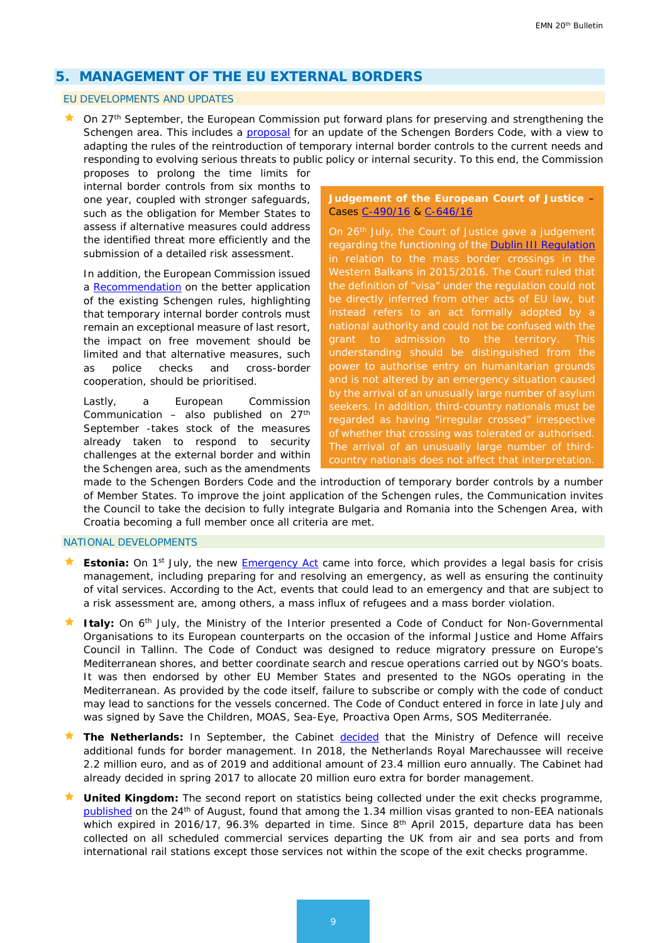# <span id="page-8-0"></span>**5. MANAGEMENT OF THE EU EXTERNAL BORDERS**

### EU DEVELOPMENTS AND UPDATES

 $\star$  On 27<sup>th</sup> September, the European Commission put forward plans for preserving and strengthening the Schengen area. This includes a [proposal](https://ec.europa.eu/home-affairs/sites/homeaffairs/files/what-we-do/policies/european-agenda-migration/20170927_proposal_for_a_regulation_amending_regulation_eu_2016_399_en.pdf) for an update of the Schengen Borders Code, with a view to adapting the rules of the reintroduction of temporary internal border controls to the current needs and responding to evolving serious threats to public policy or internal security. To this end, the Commission

proposes to prolong the time limits for internal border controls from six months to one year, coupled with stronger safeguards, such as the obligation for Member States to assess if alternative measures could address the identified threat more efficiently and the submission of a detailed risk assessment.

In addition, the European Commission issued a [Recommendation](https://ec.europa.eu/home-affairs/sites/homeaffairs/files/what-we-do/policies/european-agenda-migration/20170927_recommendation_implementation_provisions_schengen_borders_code_temporary_reintroduction_border_control_en.pdf) on the better application of the existing Schengen rules, highlighting that temporary internal border controls must remain an exceptional measure of last resort, the impact on free movement should be limited and that alternative measures, such as police checks and cross-border cooperation, should be prioritised.

Lastly, a European Commission Communication – also published on  $27<sup>th</sup>$ September -takes stock of the measures already taken to respond to security challenges at the external border and within the Schengen area, such as the amendments

**Judgement of the European Court of Justice** – Cases [C-490/16](http://curia.europa.eu/juris/document/document.jsf?text=&docid=193201&pageIndex=0&doclang=EN&mode=req&dir=&occ=first&part=1&cid=792476&utm_source=ECRE+Newsletters&utm_campaign=ed29ae24f5-EMAIL_CAMPAIGN_2017_07_28&utm_medium=email&utm_term=0_3ec9497afd-ed29ae24f5-422304153) & [C-646/16](http://curia.europa.eu/juris/document/document.jsf?text=&docid=193206&pageIndex=0&doclang=EN&mode=req&dir=&occ=first&part=1&cid=792476&utm_source=ECRE+Newsletters&utm_campaign=ed29ae24f5-EMAIL_CAMPAIGN_2017_07_28&utm_medium=email&utm_term=0_3ec9497afd-ed29ae24f5-422304153)

On 26<sup>th</sup> July, the Court of Justice gave a judgement regarding the functioning of the [Dublin III Regulation](http://eur-lex.europa.eu/LexUriServ/LexUriServ.do?uri=OJ:L:2013:180:0031:0059:EN:PDF) in relation to the mass border crossings in the Western Balkans in 2015/2016. The Court ruled that the definition of "visa" under the regulation could not be directly inferred from other acts of EU law, but instead refers to an act formally adopted by a national authority and could not be confused with the grant to admission to the territory. This understanding should be distinguished from the power to authorise entry on humanitarian grounds and is not altered by an emergency situation caused by the arrival of an unusually large number of asylum seekers. In addition, third-country nationals must be regarded as having "irregular crossed" irrespective of whether that crossing was tolerated or authorised. The arrival of an unusually large number of thirdcountry nationals does not affect that interpretation.

made to the Schengen Borders Code and the introduction of temporary border controls by a number of Member States. To improve the joint application of the Schengen rules, the Communication invites the Council to take the decision to fully integrate Bulgaria and Romania into the Schengen Area, with Croatia becoming a full member once all criteria are met.

#### NATIONAL DEVELOPMENTS

- **Estonia:** On 1<sup>st</sup> July, the new **Emergency Act** came into force, which provides a legal basis for crisis management, including preparing for and resolving an emergency, as well as ensuring the continuity of vital services. According to the Act, events that could lead to an emergency and that are subject to a risk assessment are, among others, a mass influx of refugees and a mass border violation.
- Italy: On 6<sup>th</sup> July, the Ministry of the Interior presented a Code of Conduct for Non-Governmental Organisations to its European counterparts on the occasion of the informal Justice and Home Affairs Council in Tallinn. The Code of Conduct was designed to reduce migratory pressure on Europe's Mediterranean shores, and better coordinate search and rescue operations carried out by NGO's boats. It was then endorsed by other EU Member States and presented to the NGOs operating in the Mediterranean. As provided by the code itself, failure to subscribe or comply with the code of conduct may lead to sanctions for the vessels concerned. The Code of Conduct entered in force in late July and was signed by Save the Children, MOAS, Sea-Eye, Proactiva Open Arms, SOS Mediterranée.
- **The Netherlands:** In September, the Cabinet **decided** that the Ministry of Defence will receive additional funds for border management. In 2018, the Netherlands Royal Marechaussee will receive 2.2 million euro, and as of 2019 and additional amount of 23.4 million euro annually. The Cabinet had already decided in spring 2017 to allocate 20 million euro extra for border management.
- **United Kingdom:** The second report on statistics being collected under the exit checks programme, [published](https://www.gov.uk/government/uploads/system/uploads/attachment_data/file/639621/second-report-on-statistics-being-collected-under-exit-checks.pdf) on the 24<sup>th</sup> of August, found that among the 1.34 million visas granted to non-EEA nationals which expired in 2016/17, 96.3% departed in time. Since 8<sup>th</sup> April 2015, departure data has been collected on all scheduled commercial services departing the UK from air and sea ports and from international rail stations except those services not within the scope of the exit checks programme.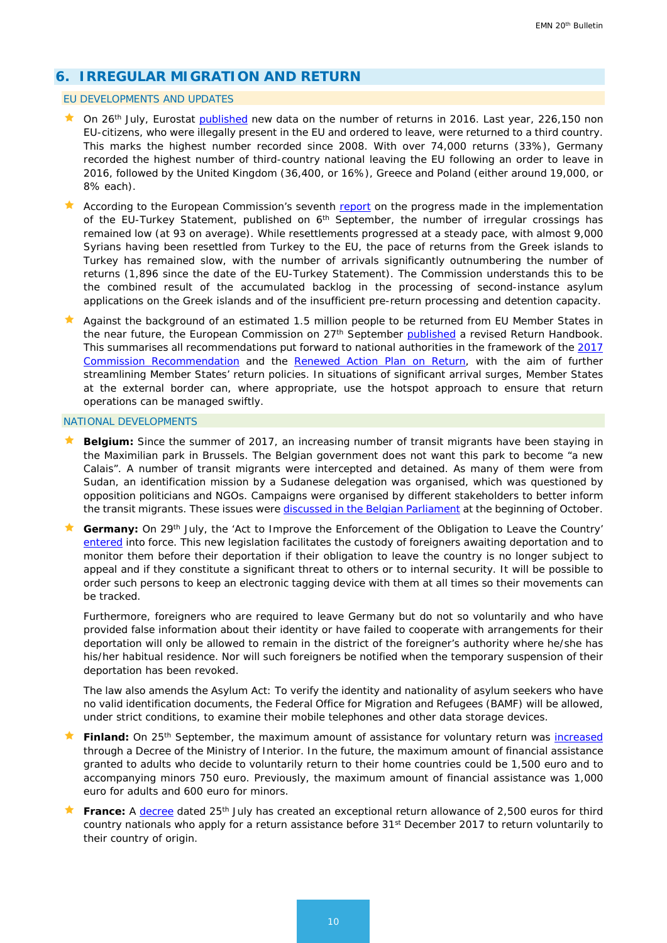# **6. IRREGULAR MIGRATION AND RETURN**

#### EU DEVELOPMENTS AND UPDATES

- $\star$  On 26<sup>th</sup> July, Eurostat [published](http://ec.europa.eu/eurostat/web/products-eurostat-news/-/DDN-20170726-1?inheritRedirect=true&redirect=%2Feurostat%2Fnews%2Fwhats-new) new data on the number of returns in 2016. Last year, 226,150 non EU-citizens, who were illegally present in the EU and ordered to leave, were returned to a third country. This marks the highest number recorded since 2008. With over 74,000 returns (33%), Germany recorded the highest number of third-country national leaving the EU following an order to leave in 2016, followed by the United Kingdom (36,400, or 16%), Greece and Poland (either around 19,000, or 8% each).
- According to the European Commission's seventh [report](https://ec.europa.eu/home-affairs/sites/homeaffairs/files/what-we-do/policies/european-agenda-migration/20170906_seventh_report_on_the_progress_in_the_implementation_of_the_eu-turkey_statement_en.pdf) on the progress made in the implementation of the EU-Turkey Statement, published on  $6<sup>th</sup>$  September, the number of irregular crossings has remained low (at 93 on average). While resettlements progressed at a steady pace, with almost 9,000 Syrians having been resettled from Turkey to the EU, the pace of returns from the Greek islands to Turkey has remained slow, with the number of arrivals significantly outnumbering the number of returns (1,896 since the date of the EU-Turkey Statement). The Commission understands this to be the combined result of the accumulated backlog in the processing of second-instance asylum applications on the Greek islands and of the insufficient pre-return processing and detention capacity.
- A Against the background of an estimated 1.5 million people to be returned from EU Member States in the near future, the European Commission on 27<sup>th</sup> September [published](https://ec.europa.eu/home-affairs/sites/homeaffairs/files/what-we-do/policies/european-agenda-migration/20170927_recommendation_on_establishing_a_common_return_handbook_annex_en.pdf) a revised Return Handbook. This summarises all recommendations put forward to national authorities in the framework of the 2017 [Commission Recommendation](https://emnbelgium.be/sites/default/files/attachments/20170302_commission_recommendation_on_making_returns_more_effective_en.pdf) and the [Renewed Action Plan on Return,](https://ec.europa.eu/home-affairs/sites/homeaffairs/files/what-we-do/policies/european-agenda-migration/20170302_a_more_effective_return_policy_in_the_european_union_-_a_renewed_action_plan_en.pdf) with the aim of further streamlining Member States' return policies. In situations of significant arrival surges, Member States at the external border can, where appropriate, use the hotspot approach to ensure that return operations can be managed swiftly.

#### NATIONAL DEVELOPMENTS

- **Belgium:** Since the summer of 2017, an increasing number of transit migrants have been staying in the Maximilian park in Brussels. The Belgian government does not want this park to become "a new Calais". A number of transit migrants were intercepted and detained. As many of them were from Sudan, an identification mission by a Sudanese delegation was organised, which was questioned by opposition politicians and NGOs. Campaigns were organised by different stakeholders to better inform the transit migrants. These issues were [discussed in the Belgian Parliament](https://emnbelgium.be/news/debate-parliament-about-transit-migrants-maximilian-park-and-identification-sudanese?q=/news/transit-migrants-maximilian-park-identification-sudanese) at the beginning of October.
- Germany: On 29<sup>th</sup> July, the 'Act to Improve the Enforcement of the Obligation to Leave the Country' [entered](https://www.bundesregierung.de/Content/DE/Artikel/2017/02/2017-02-22-bessere-durchsetzung-ausreisepflicht.html) into force. This new legislation facilitates the custody of foreigners awaiting deportation and to monitor them before their deportation if their obligation to leave the country is no longer subject to appeal and if they constitute a significant threat to others or to internal security. It will be possible to order such persons to keep an electronic tagging device with them at all times so their movements can be tracked.

Furthermore, foreigners who are required to leave Germany but do not so voluntarily and who have provided false information about their identity or have failed to cooperate with arrangements for their deportation will only be allowed to remain in the district of the foreigner's authority where he/she has his/her habitual residence. Nor will such foreigners be notified when the temporary suspension of their deportation has been revoked.

The law also amends the Asylum Act: To verify the identity and nationality of asylum seekers who have no valid identification documents, the Federal Office for Migration and Refugees (BAMF) will be allowed, under strict conditions, to examine their mobile telephones and other data storage devices.

- Finland: On 25<sup>th</sup> September, the maximum amount of assistance for voluntary return was *[increased](http://intermin.fi/en/article/-/asset_publisher/vapaaehtoisen-paluun-tukea-korotetaan)* through a Decree of the Ministry of Interior. In the future, the maximum amount of financial assistance granted to adults who decide to voluntarily return to their home countries could be 1,500 euro and to accompanying minors 750 euro. Previously, the maximum amount of financial assistance was 1,000 euro for adults and 600 euro for minors.
- France: A [decree](https://www.legifrance.gouv.fr/eli/arrete/2017/7/25/INTV1717051A/jo/texte) dated 25<sup>th</sup> July has created an exceptional return allowance of 2,500 euros for third country nationals who apply for a return assistance before 31<sup>st</sup> December 2017 to return voluntarily to their country of origin.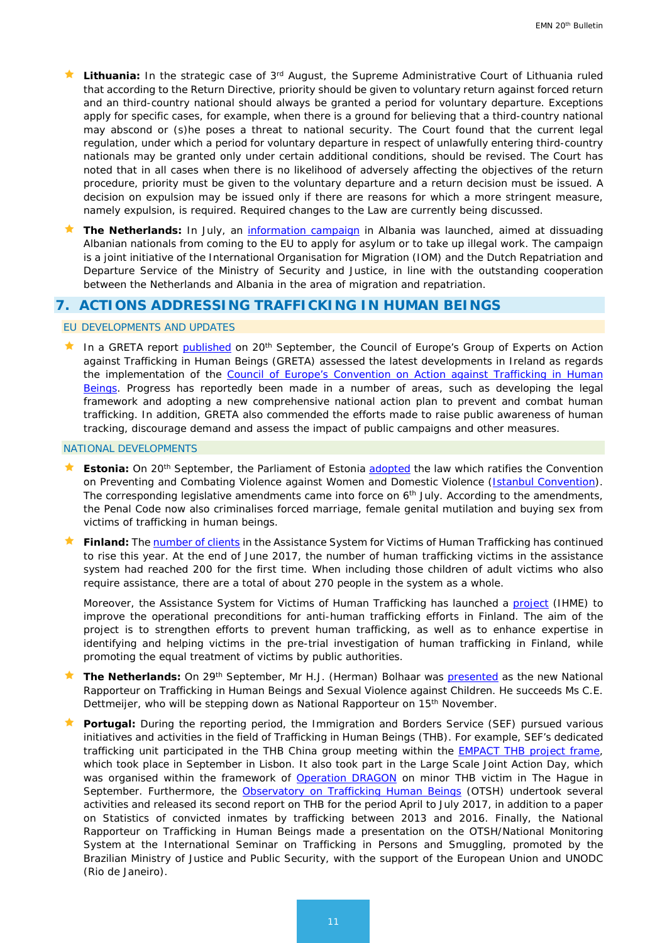- **Lithuania:** In the strategic case of 3rd August, the Supreme Administrative Court of Lithuania ruled that according to the Return Directive, priority should be given to voluntary return against forced return and an third-country national should always be granted a period for voluntary departure. Exceptions apply for specific cases, for example, when there is a ground for believing that a third-country national may abscond or (s)he poses a threat to national security. The Court found that the current legal regulation, under which a period for voluntary departure in respect of unlawfully entering third-country nationals may be granted only under certain additional conditions, should be revised. The Court has noted that in all cases when there is no likelihood of adversely affecting the objectives of the return procedure, priority must be given to the voluntary departure and a return decision must be issued. A decision on expulsion may be issued only if there are reasons for which a more stringent measure, namely expulsion, is required. Required changes to the Law are currently being discussed.
- **The Netherlands:** In July, an [information campaign](https://www.government.nl/latest/news/2017/07/20/launch-of-information-campaign-for-albanian-asylum-seekers) in Albania was launched, aimed at dissuading Albanian nationals from coming to the EU to apply for asylum or to take up illegal work. The campaign is a joint initiative of the International Organisation for Migration (IOM) and the Dutch Repatriation and Departure Service of the Ministry of Security and Justice, in line with the outstanding cooperation between the Netherlands and Albania in the area of migration and repatriation.

## <span id="page-10-0"></span>**7. ACTIONS ADDRESSING TRAFFICKING IN HUMAN BEINGS**

### EU DEVELOPMENTS AND UPDATES

In a GRETA report [published](https://rm.coe.int/greta-2017-28-fgr-irl-en/168074b426) on 20<sup>th</sup> September, the Council of Europe's Group of Experts on Action against Trafficking in Human Beings (GRETA) assessed the latest developments in Ireland as regards the implementation of the Council of Europe's Convention on Action against Trafficking in Human [Beings.](http://www.coe.int/en/web/anti-human-trafficking/about-the-convention) Progress has reportedly been made in a number of areas, such as developing the legal framework and adopting a new comprehensive national action plan to prevent and combat human trafficking. In addition, GRETA also commended the efforts made to raise public awareness of human tracking, discourage demand and assess the impact of public campaigns and other measures.

#### NATIONAL DEVELOPMENTS

- **Estonia:** On 20<sup>th</sup> September, the Parliament of Estonia [adopted](https://www.president.ee/en/media/press-releases/13591-president-of-the-republic-proclaimed-the-ratification-of-the-istanbul-convention/) the law which ratifies the Convention on Preventing and Combating Violence against Women and Domestic Violence [\(Istanbul Convention\)](https://www.coe.int/en/web/istanbul-convention/home). The corresponding legislative amendments came into force on 6<sup>th</sup> July. According to the amendments, the Penal Code now also criminalises forced marriage, female genital mutilation and buying sex from victims of trafficking in human beings.
- Finland: The [number of clients](http://www.migri.fi/for_the_media/bulletins/press_releases/press_releases/1/0/assistance_system_for_victims_of_human_trafficking_already_has_over_200_clients_73977) in the Assistance System for Victims of Human Trafficking has continued to rise this year. At the end of June 2017, the number of human trafficking victims in the assistance system had reached 200 for the first time. When including those children of adult victims who also require assistance, there are a total of about 270 people in the system as a whole.

Moreover, the Assistance System for Victims of Human Trafficking has launched a [project](http://www.migri.fi/for_the_media/bulletins/press_releases/press_releases/1/0/ihme_project_aims_to_strengthen_expertise_in_anti-human_trafficking_work_in_finland_74326) (IHME) to improve the operational preconditions for anti-human trafficking efforts in Finland. The aim of the project is to strengthen efforts to prevent human trafficking, as well as to enhance expertise in identifying and helping victims in the pre-trial investigation of human trafficking in Finland, while promoting the equal treatment of victims by public authorities.

- The Netherlands: On 29<sup>th</sup> September, Mr H.J. (Herman) Bolhaar was **presented** as the new National Rapporteur on Trafficking in Human Beings and Sexual Violence against Children. He succeeds Ms C.E. Dettmeijer, who will be stepping down as National Rapporteur on 15<sup>th</sup> November.
- **Portugal:** During the reporting period, the Immigration and Borders Service (SEF) pursued various initiatives and activities in the field of Trafficking in Human Beings (THB). For example, SEF's dedicated trafficking unit participated in the THB China group meeting within the **EMPACT THB** project frame, which took place in September in Lisbon. It also took part in the Large Scale Joint Action Day, which was organised within the framework of [Operation DRAGON](https://www.europol.europa.eu/newsroom/news/worldwide-operation-dragon-sees-52-countries-teaming-to-thwart-organised-crime) on minor THB victim in The Hague in September. Furthermore, the [Observatory on Trafficking Human Beings](http://www.otsh.mai.gov.pt/en/Pages/default.aspx) (OTSH) undertook several activities and released its second report on THB for the period April to July 2017, in addition to a paper on Statistics of convicted inmates by trafficking between 2013 and 2016. Finally, the National Rapporteur on Trafficking in Human Beings made a presentation on the OTSH/National Monitoring System at the International Seminar on Trafficking in Persons and Smuggling, promoted by the Brazilian Ministry of Justice and Public Security, with the support of the European Union and UNODC (Rio de Janeiro).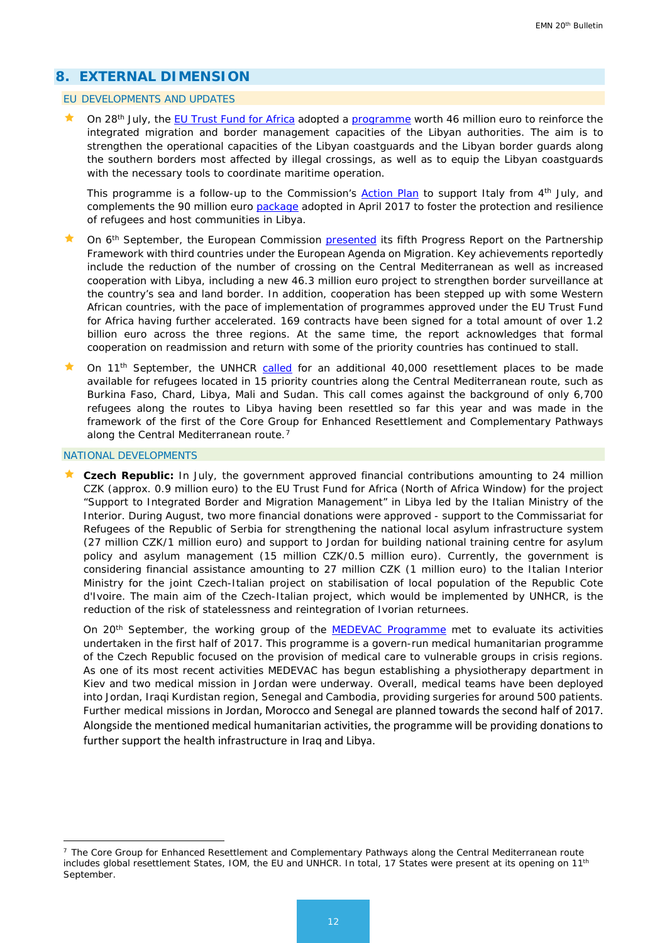# <span id="page-11-0"></span>**8. EXTERNAL DIMENSION**

#### EU DEVELOPMENTS AND UPDATES

 On 28th July, the [EU Trust Fund for Africa](https://ec.europa.eu/europeaid/regions/africa/eu-emergency-trust-fund-africa_en) adopted a [programme](http://europa.eu/rapid/press-release_IP-17-2187_en.htm) worth 46 million euro to reinforce the integrated migration and border management capacities of the Libyan authorities. The aim is to strengthen the operational capacities of the Libyan coastguards and the Libyan border guards along the southern borders most affected by illegal crossings, as well as to equip the Libyan coastguards with the necessary tools to coordinate maritime operation.

This programme is a follow-up to the Commission's [Action Plan](https://ec.europa.eu/home-affairs/sites/homeaffairs/files/what-we-do/policies/european-agenda-migration/20170704_action_plan_on_the_central_mediterranean_route_en.pdf) to support Italy from 4<sup>th</sup> July, and complements the 90 million euro [package](http://europa.eu/rapid/press-release_IP-17-951_en.htm) adopted in April 2017 to foster the protection and resilience of refugees and host communities in Libya.

- On 6<sup>th</sup> September, the European Commission [presented](https://eeas.europa.eu/sites/eeas/files/20170906_fifth_progress_report_on_the_partnership_framework_with_third_countries_under_the_eam_en_0.pdf?utm_source=ECRE+Newsletters&utm_campaign=5eebbc4f35-EMAIL_CAMPAIGN_2017_09_15&utm_medium=email&utm_term=0_3ec9497afd-5eebbc4f35-422304153) its fifth Progress Report on the Partnership Framework with third countries under the European Agenda on Migration. Key achievements reportedly include the reduction of the number of crossing on the Central Mediterranean as well as increased cooperation with Libya, including a new 46.3 million euro project to strengthen border surveillance at the country's sea and land border. In addition, cooperation has been stepped up with some Western African countries, with the pace of implementation of programmes approved under the EU Trust Fund for Africa having further accelerated. 169 contracts have been signed for a total amount of over 1.2 billion euro across the three regions. At the same time, the report acknowledges that formal cooperation on readmission and return with some of the priority countries has continued to stall.
- On 11<sup>th</sup> September, the UNHCR [called](http://www.unhcr.org/news/press/2017/9/59b6a5134/central-mediterranean-situation-unhcr-calls-additional-40000-resettlement.html) for an additional 40,000 resettlement places to be made available for refugees located in 15 priority countries along the Central Mediterranean route, such as Burkina Faso, Chard, Libya, Mali and Sudan. This call comes against the background of only 6,700 refugees along the routes to Libya having been resettled so far this year and was made in the framework of the first of the Core Group for Enhanced Resettlement and Complementary Pathways along the Central Mediterranean route.<sup>[7](#page-11-2)</sup>

#### <span id="page-11-1"></span>NATIONAL DEVELOPMENTS

<u>.</u>

 **Czech Republic:** In July, the government approved financial contributions amounting to 24 million CZK (approx. 0.9 million euro) to the EU Trust Fund for Africa (North of Africa Window) for the project "Support to Integrated Border and Migration Management" in Libya led by the Italian Ministry of the Interior. During August, two more financial donations were approved - support to the Commissariat for Refugees of the Republic of Serbia for strengthening the national local asylum infrastructure system (27 million CZK/1 million euro) and support to Jordan for building national training centre for asylum policy and asylum management (15 million CZK/0.5 million euro). Currently, the government is considering financial assistance amounting to 27 million CZK (1 million euro) to the Italian Interior Ministry for the joint Czech-Italian project on stabilisation of local population of the Republic Cote d'Ivoire. The main aim of the Czech-Italian project, which would be implemented by UNHCR, is the reduction of the risk of statelessness and reintegration of Ivorian returnees.

On 20<sup>th</sup> September, the working group of the **MEDEVAC Programme** met to evaluate its activities undertaken in the first half of 2017. This programme is a govern-run medical humanitarian programme of the Czech Republic focused on the provision of medical care to vulnerable groups in crisis regions. As one of its most recent activities MEDEVAC has begun establishing a physiotherapy department in Kiev and two medical mission in Jordan were underway. Overall, medical teams have been deployed into Jordan, Iraqi Kurdistan region, Senegal and Cambodia, providing surgeries for around 500 patients. Further medical missions in Jordan, Morocco and Senegal are planned towards the second half of 2017. Alongside the mentioned medical humanitarian activities, the programme will be providing donations to further support the health infrastructure in Iraq and Libya.

<span id="page-11-2"></span><sup>&</sup>lt;sup>7</sup> The Core Group for Enhanced Resettlement and Complementary Pathways along the Central Mediterranean route includes global resettlement States, IOM, the EU and UNHCR. In total, 17 States were present at its opening on 11<sup>th</sup> September.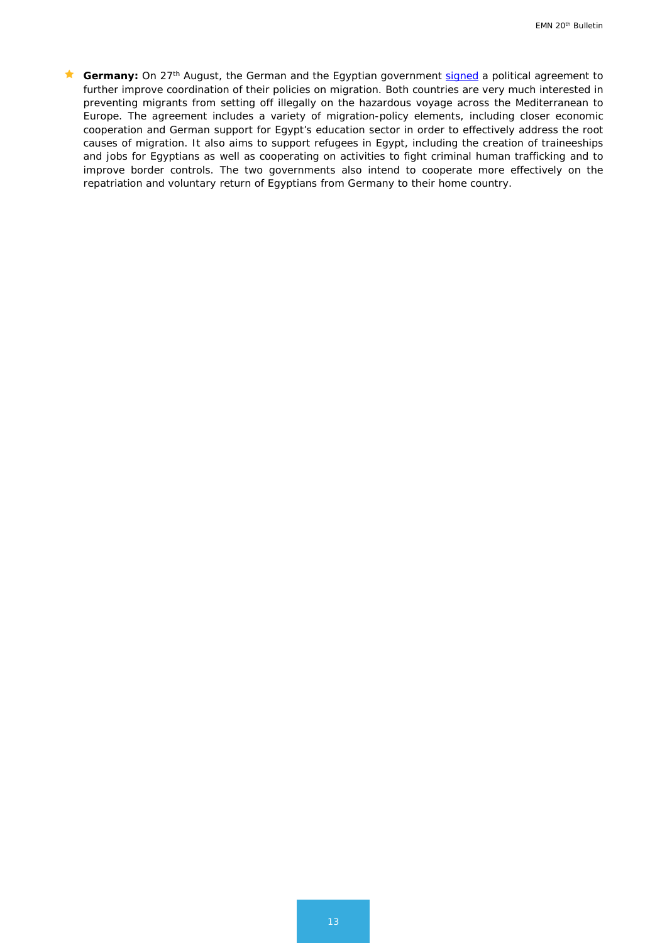**Germany:** On 27<sup>th</sup> August, the German and the Egyptian government [signed](https://www.bundesregierung.de/Content/EN/Artikel/2017/08_en/2017-08-28-deutsch-aegyptische-vereinbarung-migration_en.html) a political agreement to further improve coordination of their policies on migration. Both countries are very much interested in preventing migrants from setting off illegally on the hazardous voyage across the Mediterranean to Europe. The agreement includes a variety of migration-policy elements, including closer economic cooperation and German support for Egypt's education sector in order to effectively address the root causes of migration. It also aims to support refugees in Egypt, including the creation of traineeships and jobs for Egyptians as well as cooperating on activities to fight criminal human trafficking and to improve border controls. The two governments also intend to cooperate more effectively on the repatriation and voluntary return of Egyptians from Germany to their home country.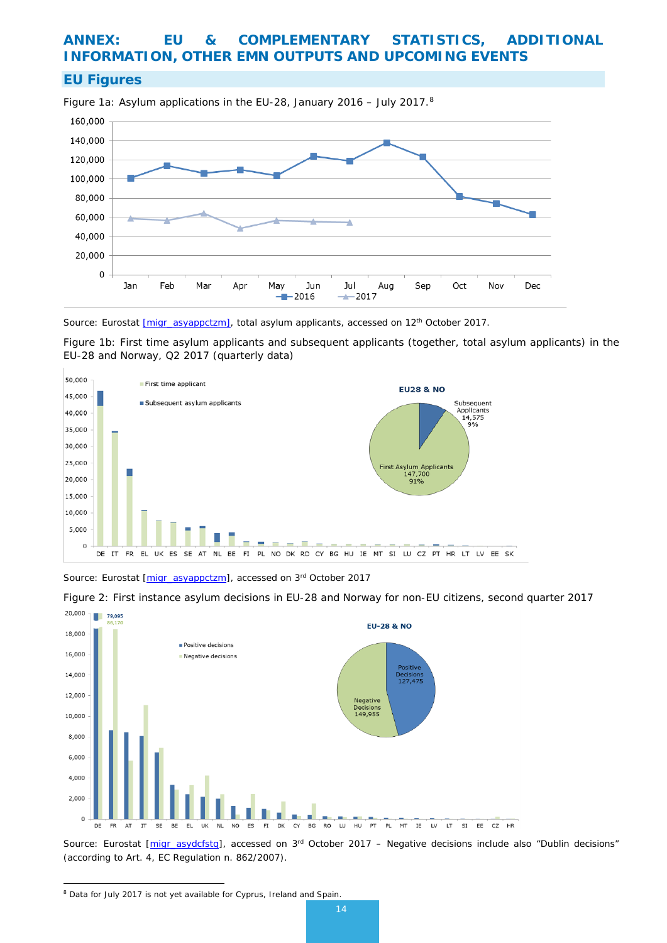# **ANNEX: EU & COMPLEMENTARY STATISTICS, ADDITIONAL INFORMATION, OTHER EMN OUTPUTS AND UPCOMING EVENTS**

## **EU Figures**

Figure 1a: Asylum applications in the EU-28, January 2016 – July 2017.[8](#page-13-0)



*Source: Eurostat [\[migr\\_asyappctzm\],](http://appsso.eurostat.ec.europa.eu/nui/show.do?dataset=migr_asyappctzm&lang=en) total asylum applicants, accessed on 12th October 2017.*

Figure 1b: First time asylum applicants and subsequent applicants (together, total asylum applicants) in the EU-28 and Norway, Q2 2017 (quarterly data)



*Source: Eurostat [\[migr\\_asyappctzm\]](http://appsso.eurostat.ec.europa.eu/nui/show.do?dataset=migr_asyappctzm&lang=en), accessed on 3rd October 2017*

Figure 2: First instance asylum decisions in EU-28 and Norway for non-EU citizens, second quarter 2017



*Source: Eurostat [\[migr\\_asydcfstq\]](http://appsso.eurostat.ec.europa.eu/nui/show.do?dataset=migr_asydcfstq&lang=en), accessed on 3rd October 2017 – Negative decisions include also "Dublin decisions" (according to Art. 4, EC Regulation n. 862/2007).*

<span id="page-13-0"></span><sup>8</sup> Data for July 2017 is not yet available for Cyprus, Ireland and Spain. <u>.</u>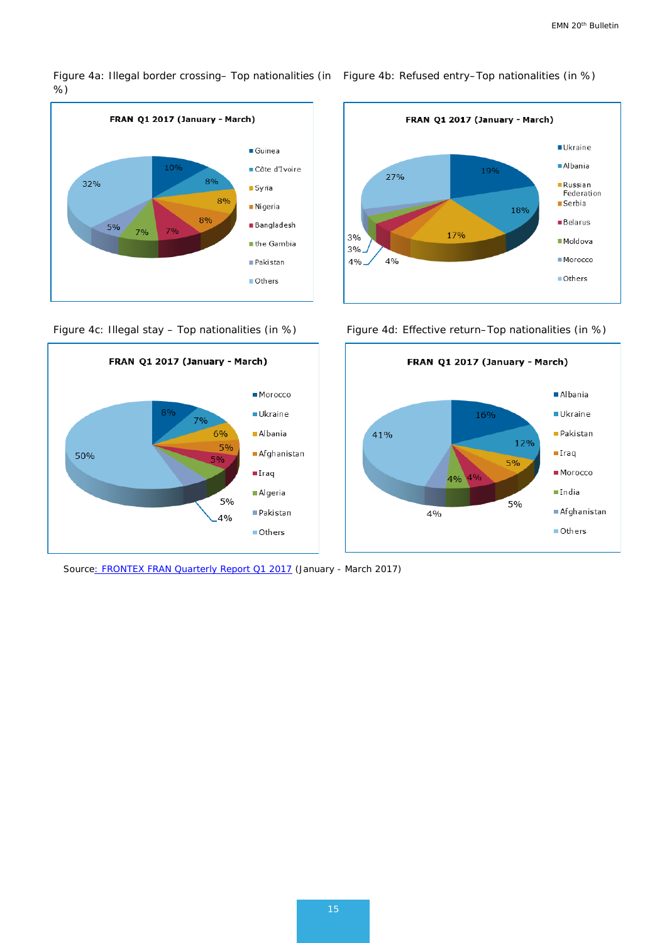Figure 4a: Illegal border crossing– Top nationalities (in ) Figure 4b: Refused entry–Top nationalities (in %) %)





*Sourc[e: FRONTEX FRAN Quarterly Report Q1 2017](http://frontex.europa.eu/assets/Publications/Risk_Analysis/FRAN_Q1_2017.pdf) (January - March 2017)*



Figure 4c: Illegal stay - Top nationalities (in %) Figure 4d: Effective return-Top nationalities (in %)

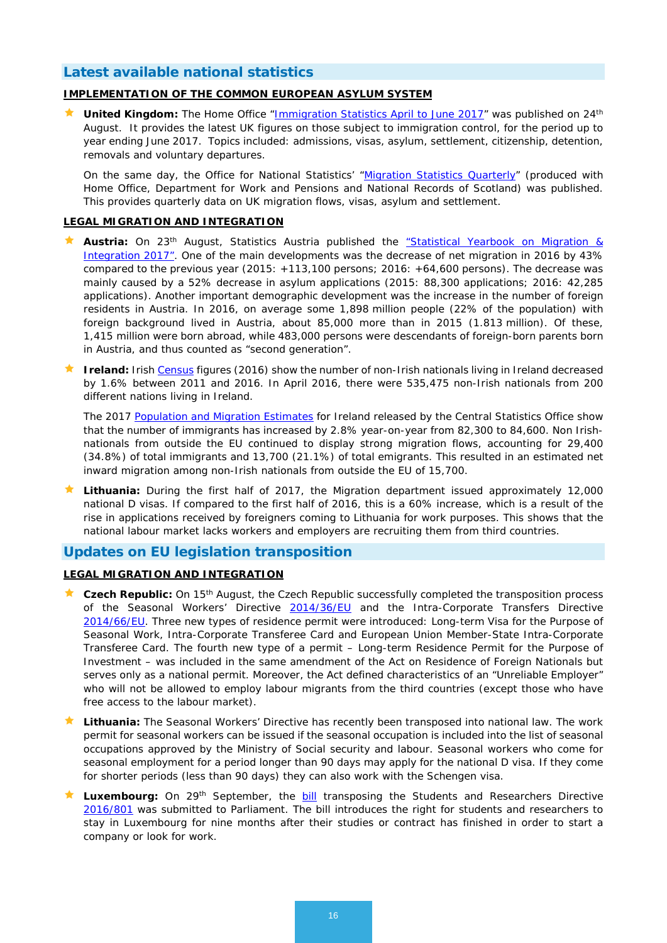# **Latest available national statistics**

## **IMPLEMENTATION OF THE COMMON EUROPEAN ASYLUM SYSTEM**

**United Kingdom:** The Home Office "*Immigration Statistics April to June 2017*" was published on 24<sup>th</sup> August. It provides the latest UK figures on those subject to immigration control, for the period up to year ending June 2017. Topics included: admissions, visas, asylum, settlement, citizenship, detention, removals and voluntary departures.

On the same day, the Office for National Statistics' ["Migration Statistics Quarterly"](https://www.ons.gov.uk/peoplepopulationandcommunity/populationandmigration/internationalmigration/bulletins/migrationstatisticsquarterlyreport/august2017) (produced with Home Office, Department for Work and Pensions and National Records of Scotland) was published. This provides quarterly data on UK migration flows, visas, asylum and settlement.

## **LEGAL MIGRATION AND INTEGRATION**

- **Austria:** On 23<sup>th</sup> August, Statistics Austria published the "Statistical Yearbook on Migration & [Integration 2017".](https://www.integrationsfonds.at/fileadmin/content/AT/Downloads/Publikationen/Statistisches_Jahrbuch_migration_integration_2017.pdf) One of the main developments was the decrease of net migration in 2016 by 43% compared to the previous year (2015: +113,100 persons; 2016: +64,600 persons). The decrease was mainly caused by a 52% decrease in asylum applications (2015: 88,300 applications; 2016: 42,285 applications). Another important demographic development was the increase in the number of foreign residents in Austria. In 2016, on average some 1,898 million people (22% of the population) with foreign background lived in Austria, about 85,000 more than in 2015 (1.813 million). Of these, 1,415 million were born abroad, while 483,000 persons were descendants of foreign-born parents born in Austria, and thus counted as "second generation".
- **Ireland:** Irish [Census](http://www.cso.ie/en/csolatestnews/presspages/2017/census2016profile7-migrationanddiversity/) figures (2016) show the number of non-Irish nationals living in Ireland decreased by 1.6% between 2011 and 2016. In April 2016, there were 535,475 non-Irish nationals from 200 different nations living in Ireland.

The 2017 [Population and Migration Estimates](http://www.cso.ie/en/releasesandpublications/er/pme/populationandmigrationestimatesapril2017/) for Ireland released by the Central Statistics Office show that the number of immigrants has increased by 2.8% year-on-year from 82,300 to 84,600. Non Irishnationals from outside the EU continued to display strong migration flows, accounting for 29,400 (34.8%) of total immigrants and 13,700 (21.1%) of total emigrants. This resulted in an estimated net inward migration among non-Irish nationals from outside the EU of 15,700.

 **Lithuania:** During the first half of 2017, the Migration department issued approximately 12,000 national D visas. If compared to the first half of 2016, this is a 60% increase, which is a result of the rise in applications received by foreigners coming to Lithuania for work purposes. This shows that the national labour market lacks workers and employers are recruiting them from third countries.

## **Updates on EU legislation transposition**

## **LEGAL MIGRATION AND INTEGRATION**

- **Czech Republic:** On 15th August, the Czech Republic successfully completed the transposition process of the Seasonal Workers' Directive [2014/36/EU](http://eur-lex.europa.eu/legal-content/EN/TXT/?uri=celex%3A32014L0036) and the Intra-Corporate Transfers Directive [2014/66/EU.](http://eur-lex.europa.eu/legal-content/EN/ALL/?uri=celex%3A32014L0066) Three new types of residence permit were introduced: Long-term Visa for the Purpose of Seasonal Work, Intra-Corporate Transferee Card and European Union Member-State Intra-Corporate Transferee Card. The fourth new type of a permit – Long-term Residence Permit for the Purpose of Investment – was included in the same amendment of the Act on Residence of Foreign Nationals but serves only as a national permit. Moreover, the Act defined characteristics of an "Unreliable Employer" who will not be allowed to employ labour migrants from the third countries (except those who have free access to the labour market).
- **Lithuania:** The Seasonal Workers' Directive has recently been transposed into national law. The work permit for seasonal workers can be issued if the seasonal occupation is included into the list of seasonal occupations approved by the Ministry of Social security and labour. Seasonal workers who come for seasonal employment for a period longer than 90 days may apply for the national D visa. If they come for shorter periods (less than 90 days) they can also work with the Schengen visa.
- Luxembourg: On 29<sup>th</sup> September, the [bill](http://www.chd.lu/wps/portal/public/Accueil/TravailALaChambre/Recherche/RoleDesAffaires?action=doDocpaDetails&id=7188) transposing the Students and Researchers Directive [2016/801](http://eur-lex.europa.eu/legal-content/EN/TXT/HTML/?uri=CELEX:32016L0801&from=FR) was submitted to Parliament. The bill introduces the right for students and researchers to stay in Luxembourg for nine months after their studies or contract has finished in order to start a company or look for work.